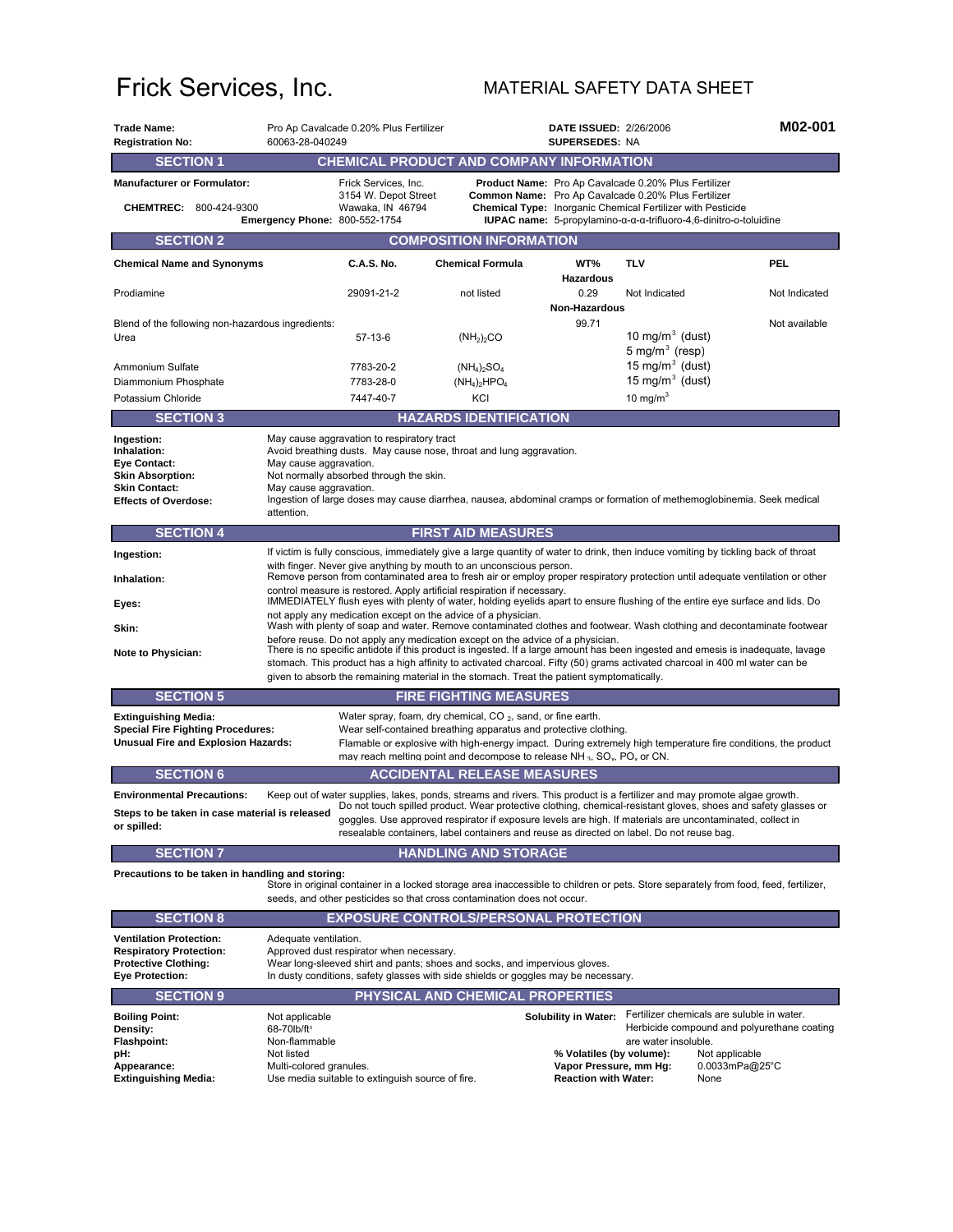## Frick Services, Inc. MATERIAL SAFETY DATA SHEET

| <b>Trade Name:</b><br><b>Registration No:</b>                                                                                      | Pro Ap Cavalcade 0.20% Plus Fertilizer<br>60063-28-040249                                                                                                                                                                                                                                                                                                                                                                                     |                                                                  |                                                                                                                                                                                                                                                                                                                                                                                                                                                      | <b>DATE ISSUED: 2/26/2006</b><br><b>SUPERSEDES: NA</b>                                                           |                                                                                                                                                                  | M02-001                                                                                                       |  |
|------------------------------------------------------------------------------------------------------------------------------------|-----------------------------------------------------------------------------------------------------------------------------------------------------------------------------------------------------------------------------------------------------------------------------------------------------------------------------------------------------------------------------------------------------------------------------------------------|------------------------------------------------------------------|------------------------------------------------------------------------------------------------------------------------------------------------------------------------------------------------------------------------------------------------------------------------------------------------------------------------------------------------------------------------------------------------------------------------------------------------------|------------------------------------------------------------------------------------------------------------------|------------------------------------------------------------------------------------------------------------------------------------------------------------------|---------------------------------------------------------------------------------------------------------------|--|
| <b>SECTION 1</b>                                                                                                                   |                                                                                                                                                                                                                                                                                                                                                                                                                                               |                                                                  | <b>CHEMICAL PRODUCT AND COMPANY INFORMATION</b>                                                                                                                                                                                                                                                                                                                                                                                                      |                                                                                                                  |                                                                                                                                                                  |                                                                                                               |  |
| <b>Manufacturer or Formulator:</b><br>CHEMTREC: 800-424-9300                                                                       |                                                                                                                                                                                                                                                                                                                                                                                                                                               | Frick Services, Inc.<br>3154 W. Depot Street<br>Wawaka, IN 46794 |                                                                                                                                                                                                                                                                                                                                                                                                                                                      |                                                                                                                  | <b>Product Name:</b> Pro Ap Cavalcade 0.20% Plus Fertilizer<br>Common Name: Pro Ap Cavalcade 0.20% Plus Fertilizer                                               |                                                                                                               |  |
|                                                                                                                                    | <b>Emergency Phone: 800-552-1754</b>                                                                                                                                                                                                                                                                                                                                                                                                          |                                                                  |                                                                                                                                                                                                                                                                                                                                                                                                                                                      |                                                                                                                  | <b>Chemical Type:</b> Inorganic Chemical Fertilizer with Pesticide<br><b>IUPAC name:</b> 5-propylamino- $\alpha$ - $\alpha$ -d-trifluoro-4,6-dinitro-o-toluidine |                                                                                                               |  |
| <b>SECTION 2</b>                                                                                                                   |                                                                                                                                                                                                                                                                                                                                                                                                                                               |                                                                  | <b>COMPOSITION INFORMATION</b>                                                                                                                                                                                                                                                                                                                                                                                                                       |                                                                                                                  |                                                                                                                                                                  |                                                                                                               |  |
| <b>Chemical Name and Synonyms</b>                                                                                                  |                                                                                                                                                                                                                                                                                                                                                                                                                                               | C.A.S. No.                                                       | <b>Chemical Formula</b>                                                                                                                                                                                                                                                                                                                                                                                                                              | WT%<br><b>Hazardous</b>                                                                                          | TLV                                                                                                                                                              | PEL                                                                                                           |  |
| Prodiamine                                                                                                                         |                                                                                                                                                                                                                                                                                                                                                                                                                                               | 29091-21-2                                                       | not listed                                                                                                                                                                                                                                                                                                                                                                                                                                           | 0.29                                                                                                             | Not Indicated                                                                                                                                                    | Not Indicated                                                                                                 |  |
| Blend of the following non-hazardous ingredients:                                                                                  |                                                                                                                                                                                                                                                                                                                                                                                                                                               |                                                                  |                                                                                                                                                                                                                                                                                                                                                                                                                                                      | Non-Hazardous<br>99.71                                                                                           |                                                                                                                                                                  | Not available                                                                                                 |  |
| Urea                                                                                                                               |                                                                                                                                                                                                                                                                                                                                                                                                                                               | 57-13-6                                                          | (NH <sub>2</sub> ) <sub>2</sub> CO                                                                                                                                                                                                                                                                                                                                                                                                                   |                                                                                                                  | 10 mg/m $3$ (dust)                                                                                                                                               |                                                                                                               |  |
|                                                                                                                                    |                                                                                                                                                                                                                                                                                                                                                                                                                                               |                                                                  |                                                                                                                                                                                                                                                                                                                                                                                                                                                      |                                                                                                                  | 5 mg/m $3$ (resp)                                                                                                                                                |                                                                                                               |  |
| Ammonium Sulfate                                                                                                                   |                                                                                                                                                                                                                                                                                                                                                                                                                                               | 7783-20-2                                                        | $(NH_4)_2SO_4$                                                                                                                                                                                                                                                                                                                                                                                                                                       |                                                                                                                  | 15 mg/m $3$ (dust)                                                                                                                                               |                                                                                                               |  |
| Diammonium Phosphate                                                                                                               |                                                                                                                                                                                                                                                                                                                                                                                                                                               | 7783-28-0                                                        | $(NH_4)_2HPO_4$                                                                                                                                                                                                                                                                                                                                                                                                                                      |                                                                                                                  | 15 mg/m $3$ (dust)                                                                                                                                               |                                                                                                               |  |
| Potassium Chloride                                                                                                                 |                                                                                                                                                                                                                                                                                                                                                                                                                                               | 7447-40-7                                                        | KCI                                                                                                                                                                                                                                                                                                                                                                                                                                                  |                                                                                                                  | 10 mg/m <sup>3</sup>                                                                                                                                             |                                                                                                               |  |
| <b>SECTION 3</b>                                                                                                                   |                                                                                                                                                                                                                                                                                                                                                                                                                                               |                                                                  | <b>HAZARDS IDENTIFICATION</b>                                                                                                                                                                                                                                                                                                                                                                                                                        |                                                                                                                  |                                                                                                                                                                  |                                                                                                               |  |
| Ingestion:<br>Inhalation:<br><b>Eye Contact:</b><br><b>Skin Absorption:</b><br><b>Skin Contact:</b><br><b>Effects of Overdose:</b> | May cause aggravation to respiratory tract<br>Avoid breathing dusts. May cause nose, throat and lung aggravation.<br>May cause aggravation.<br>Not normally absorbed through the skin.<br>May cause aggravation.<br>Ingestion of large doses may cause diarrhea, nausea, abdominal cramps or formation of methemoglobinemia. Seek medical<br>attention.                                                                                       |                                                                  |                                                                                                                                                                                                                                                                                                                                                                                                                                                      |                                                                                                                  |                                                                                                                                                                  |                                                                                                               |  |
| <b>SECTION 4</b>                                                                                                                   |                                                                                                                                                                                                                                                                                                                                                                                                                                               |                                                                  | <b>FIRST AID MEASURES</b>                                                                                                                                                                                                                                                                                                                                                                                                                            |                                                                                                                  |                                                                                                                                                                  |                                                                                                               |  |
| Ingestion:                                                                                                                         |                                                                                                                                                                                                                                                                                                                                                                                                                                               |                                                                  |                                                                                                                                                                                                                                                                                                                                                                                                                                                      |                                                                                                                  |                                                                                                                                                                  |                                                                                                               |  |
|                                                                                                                                    | If victim is fully conscious, immediately give a large quantity of water to drink, then induce vomiting by tickling back of throat<br>with finger. Never give anything by mouth to an unconscious person.                                                                                                                                                                                                                                     |                                                                  |                                                                                                                                                                                                                                                                                                                                                                                                                                                      |                                                                                                                  |                                                                                                                                                                  |                                                                                                               |  |
| Inhalation:                                                                                                                        | Remove person from contaminated area to fresh air or employ proper respiratory protection until adequate ventilation or other<br>control measure is restored. Apply artificial respiration if necessary.                                                                                                                                                                                                                                      |                                                                  |                                                                                                                                                                                                                                                                                                                                                                                                                                                      |                                                                                                                  |                                                                                                                                                                  |                                                                                                               |  |
| Eyes:                                                                                                                              | IMMEDIATELY flush eyes with plenty of water, holding eyelids apart to ensure flushing of the entire eye surface and lids. Do<br>not apply any medication except on the advice of a physician.                                                                                                                                                                                                                                                 |                                                                  |                                                                                                                                                                                                                                                                                                                                                                                                                                                      |                                                                                                                  |                                                                                                                                                                  |                                                                                                               |  |
| Skin:                                                                                                                              | Wash with plenty of soap and water. Remove contaminated clothes and footwear. Wash clothing and decontaminate footwear                                                                                                                                                                                                                                                                                                                        |                                                                  |                                                                                                                                                                                                                                                                                                                                                                                                                                                      |                                                                                                                  |                                                                                                                                                                  |                                                                                                               |  |
| Note to Physician:                                                                                                                 | before reuse. Do not apply any medication except on the advice of a physician.<br>There is no specific antidote if this product is ingested. If a large amount has been ingested and emesis is inadequate, lavage<br>stomach. This product has a high affinity to activated charcoal. Fifty (50) grams activated charcoal in 400 ml water can be<br>given to absorb the remaining material in the stomach. Treat the patient symptomatically. |                                                                  |                                                                                                                                                                                                                                                                                                                                                                                                                                                      |                                                                                                                  |                                                                                                                                                                  |                                                                                                               |  |
| <b>SECTION 5</b>                                                                                                                   |                                                                                                                                                                                                                                                                                                                                                                                                                                               |                                                                  | <b>FIRE FIGHTING MEASURES</b>                                                                                                                                                                                                                                                                                                                                                                                                                        |                                                                                                                  |                                                                                                                                                                  |                                                                                                               |  |
| <b>Extinguishing Media:</b><br><b>Special Fire Fighting Procedures:</b><br><b>Unusual Fire and Explosion Hazards:</b>              |                                                                                                                                                                                                                                                                                                                                                                                                                                               |                                                                  | Water spray, foam, dry chemical, $CO2$ , sand, or fine earth.<br>Wear self-contained breathing apparatus and protective clothing.<br>may reach melting point and decompose to release NH <sub>3</sub> , SO <sub>x</sub> , PO <sub>x</sub> or CN.                                                                                                                                                                                                     |                                                                                                                  |                                                                                                                                                                  | Flamable or explosive with high-energy impact. During extremely high temperature fire conditions, the product |  |
| <b>SECTION 6</b>                                                                                                                   |                                                                                                                                                                                                                                                                                                                                                                                                                                               |                                                                  | <b>ACCIDENTAL RELEASE MEASURES</b>                                                                                                                                                                                                                                                                                                                                                                                                                   |                                                                                                                  |                                                                                                                                                                  |                                                                                                               |  |
| <b>Environmental Precautions:</b><br>Steps to be taken in case material is released<br>or spilled:                                 |                                                                                                                                                                                                                                                                                                                                                                                                                                               |                                                                  | Keep out of water supplies, lakes, ponds, streams and rivers. This product is a fertilizer and may promote algae growth.<br>Do not touch spilled product. Wear protective clothing, chemical-resistant gloves, shoes and safety glasses or<br>goggles. Use approved respirator if exposure levels are high. If materials are uncontaminated, collect in<br>resealable containers, label containers and reuse as directed on label. Do not reuse bag. |                                                                                                                  |                                                                                                                                                                  |                                                                                                               |  |
| <b>SECTION 7</b>                                                                                                                   |                                                                                                                                                                                                                                                                                                                                                                                                                                               |                                                                  | <b>HANDLING AND STORAGE</b>                                                                                                                                                                                                                                                                                                                                                                                                                          |                                                                                                                  |                                                                                                                                                                  |                                                                                                               |  |
| Precautions to be taken in handling and storing:                                                                                   |                                                                                                                                                                                                                                                                                                                                                                                                                                               |                                                                  | Store in original container in a locked storage area inaccessible to children or pets. Store separately from food, feed, fertilizer,<br>seeds, and other pesticides so that cross contamination does not occur.                                                                                                                                                                                                                                      |                                                                                                                  |                                                                                                                                                                  |                                                                                                               |  |
| <b>SECTION 8</b>                                                                                                                   |                                                                                                                                                                                                                                                                                                                                                                                                                                               |                                                                  | <b>EXPOSURE CONTROLS/PERSONAL PROTECTION</b>                                                                                                                                                                                                                                                                                                                                                                                                         |                                                                                                                  |                                                                                                                                                                  |                                                                                                               |  |
| <b>Ventilation Protection:</b><br><b>Respiratory Protection:</b><br><b>Protective Clothing:</b><br><b>Eye Protection:</b>          | Adequate ventilation.                                                                                                                                                                                                                                                                                                                                                                                                                         | Approved dust respirator when necessary.                         | Wear long-sleeved shirt and pants; shoes and socks, and impervious gloves.<br>In dusty conditions, safety glasses with side shields or goggles may be necessary.                                                                                                                                                                                                                                                                                     |                                                                                                                  |                                                                                                                                                                  |                                                                                                               |  |
| <b>SECTION 9</b>                                                                                                                   |                                                                                                                                                                                                                                                                                                                                                                                                                                               |                                                                  | PHYSICAL AND CHEMICAL PROPERTIES                                                                                                                                                                                                                                                                                                                                                                                                                     |                                                                                                                  |                                                                                                                                                                  |                                                                                                               |  |
| <b>Boiling Point:</b><br>Density:<br><b>Flashpoint:</b><br>pH:<br>Appearance:<br><b>Extinguishing Media:</b>                       | Not applicable<br>68-70lb/ft <sup>3</sup><br>Non-flammable<br>Not listed<br>Multi-colored granules.                                                                                                                                                                                                                                                                                                                                           | Use media suitable to extinguish source of fire.                 |                                                                                                                                                                                                                                                                                                                                                                                                                                                      | <b>Solubility in Water:</b><br>% Volatiles (by volume):<br>Vapor Pressure, mm Hg:<br><b>Reaction with Water:</b> | Fertilizer chemicals are suluble in water.<br>are water insoluble.<br>None                                                                                       | Herbicide compound and polyurethane coating<br>Not applicable<br>0.0033mPa@25°C                               |  |